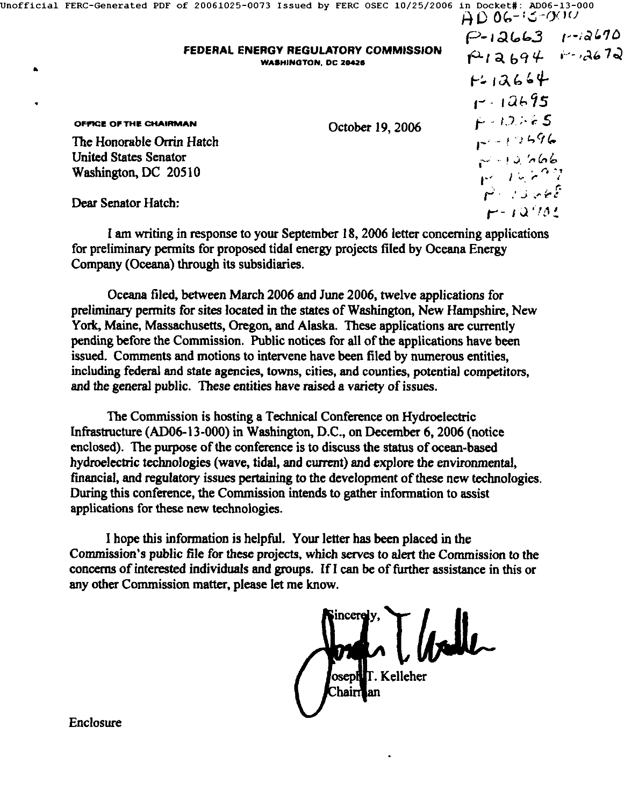|  |                                                                                                             | 000-13-000 Incfficial FERC-Generated PDF of 20061025-0073 Issued by FERC OSEC 10/25/2006 in Docket#: | $HD$ 06-15-000         |
|--|-------------------------------------------------------------------------------------------------------------|------------------------------------------------------------------------------------------------------|------------------------|
|  |                                                                                                             |                                                                                                      | $P-12663$ $1-12670$    |
|  |                                                                                                             | FEDERAL ENERGY REGULATORY COMMISSION<br><b>WASHINGTON, DC 20426</b>                                  | $A12694 + 43672$       |
|  |                                                                                                             |                                                                                                      | $F - 12664$            |
|  |                                                                                                             |                                                                                                      | $1 - 12695$            |
|  | OFFICE OF THE CHAIRMAN<br>The Honorable Orrin Hatch<br><b>United States Senator</b><br>Washington, DC 20510 | October 19, 2006                                                                                     | $F - 12.765$           |
|  |                                                                                                             |                                                                                                      | $1 - 12596$            |
|  |                                                                                                             |                                                                                                      | $-12, 666$             |
|  |                                                                                                             |                                                                                                      | 14.797                 |
|  | Dear Senator Hatch:                                                                                         |                                                                                                      | متح مؤيدي بزرار المسلم |
|  |                                                                                                             |                                                                                                      | $F - 12^{7}782$        |

I am writing in response to your September 18, 2006 letter concerning applications for preliminary permits for proposed tidal energy projects filed by Oceana Energy Company (Oceana) through its subsidiaries.

Oceana filed, between March 2006 and June 2006, twelve applications for preliminary permits for sites located in the states of Washington, New Hampshire, New York, Maine, Massachusetts, Oregon, and Alaska. These applications are currently pending before the Commission. Public notices for all of the applications have been issued. Comments and motions to intervene have been filed by numerous entities, including federal and state agencies, towns, cities, and counties, potential competitors, and the general public. These entities have raised a variety of issues.

The Commission is hosting a Technical Conference on Hydroelectric Infrastructure (AD06-13-000) in Washington, D.C., on December 6, 2006 (notice enclosed). The purpose of the conference is to discuss the status of ocean-based hydroelectric technologies (wave, tidal, and current) and explore the environmental, financial, and regulatory issues pertaining to the development of these new technologies. During this conference, the Commission intends to gather information to assist applications for these new technologies.

I hope this information is helpful. Your letter has been placed in the Commission's public file for these projects, which serves to alert the Commission to the concerns of interested individuals and groups. IfI can be of further assistance in this or any other Commission matter, please let me know.

T. Kelleher

`hairr

Enclosure